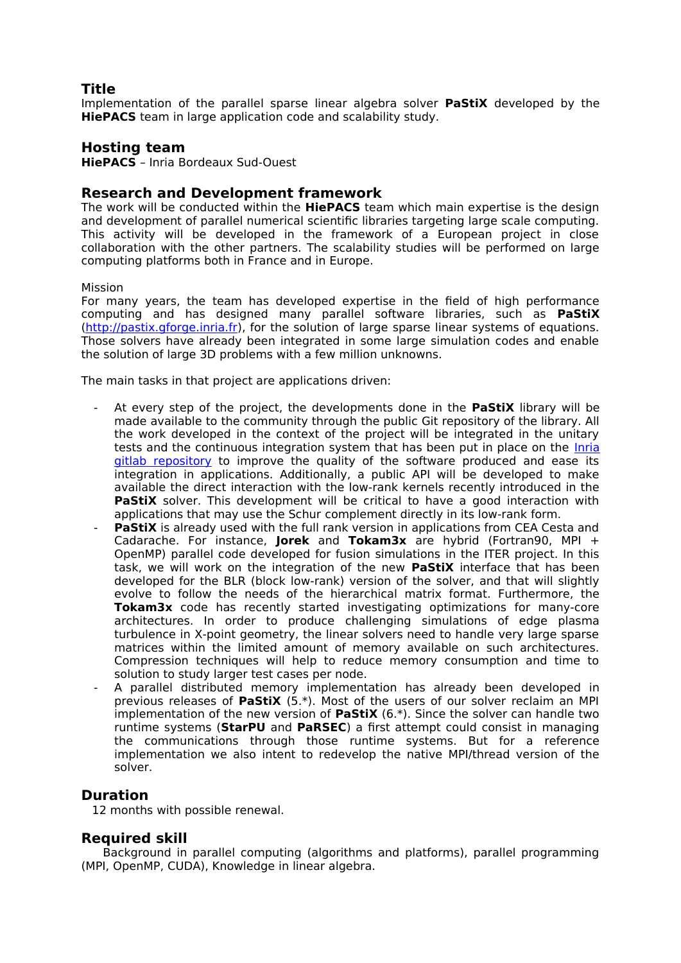# **Title**

Implementation of the parallel sparse linear algebra solver **PaStiX** developed by the **HiePACS** team in large application code and scalability study.

## **Hosting team**

**HiePACS** – Inria Bordeaux Sud-Ouest

## **Research and Development framework**

The work will be conducted within the **HiePACS** team which main expertise is the design and development of parallel numerical scientific libraries targeting large scale computing. This activity will be developed in the framework of a European project in close collaboration with the other partners. The scalability studies will be performed on large computing platforms both in France and in Europe.

#### Mission

For many years, the team has developed expertise in the field of high performance computing and has designed many parallel software libraries, such as **PaStiX** [\(http://pastix.gforge.inria.fr\)](http://pastix.gforge.inria.fr/), for the solution of large sparse linear systems of equations. Those solvers have already been integrated in some large simulation codes and enable the solution of large 3D problems with a few million unknowns.

The main tasks in that project are applications driven:

- At every step of the project, the developments done in the **PaStiX** library will be made available to the community through the public Git repository of the library. All the work developed in the context of the project will be integrated in the unitary tests and the continuous integration system that has been put in place on the [Inria](https://gitlab.inria.fr/solverstack/pastix) [gitlab repository](https://gitlab.inria.fr/solverstack/pastix) to improve the quality of the software produced and ease its integration in applications. Additionally, a public API will be developed to make available the direct interaction with the low-rank kernels recently introduced in the **PaStiX** solver. This development will be critical to have a good interaction with applications that may use the Schur complement directly in its low-rank form.
- **PaStiX** is already used with the full rank version in applications from CEA Cesta and Cadarache. For instance, **Jorek** and **Tokam3x** are hybrid (Fortran90, MPI + OpenMP) parallel code developed for fusion simulations in the ITER project. In this task, we will work on the integration of the new **PaStiX** interface that has been developed for the BLR (block low-rank) version of the solver, and that will slightly evolve to follow the needs of the hierarchical matrix format. Furthermore, the **Tokam3x** code has recently started investigating optimizations for many-core architectures. In order to produce challenging simulations of edge plasma turbulence in X-point geometry, the linear solvers need to handle very large sparse matrices within the limited amount of memory available on such architectures. Compression techniques will help to reduce memory consumption and time to solution to study larger test cases per node.
- A parallel distributed memory implementation has already been developed in previous releases of **PaStiX** (5.\*). Most of the users of our solver reclaim an MPI implementation of the new version of **PaStiX** (6.\*). Since the solver can handle two runtime systems (**StarPU** and **PaRSEC**) a first attempt could consist in managing the communications through those runtime systems. But for a reference implementation we also intent to redevelop the native MPI/thread version of the solver.

# **Duration**

12 months with possible renewal.

### **Required skill**

 Background in parallel computing (algorithms and platforms), parallel programming (MPI, OpenMP, CUDA), Knowledge in linear algebra.